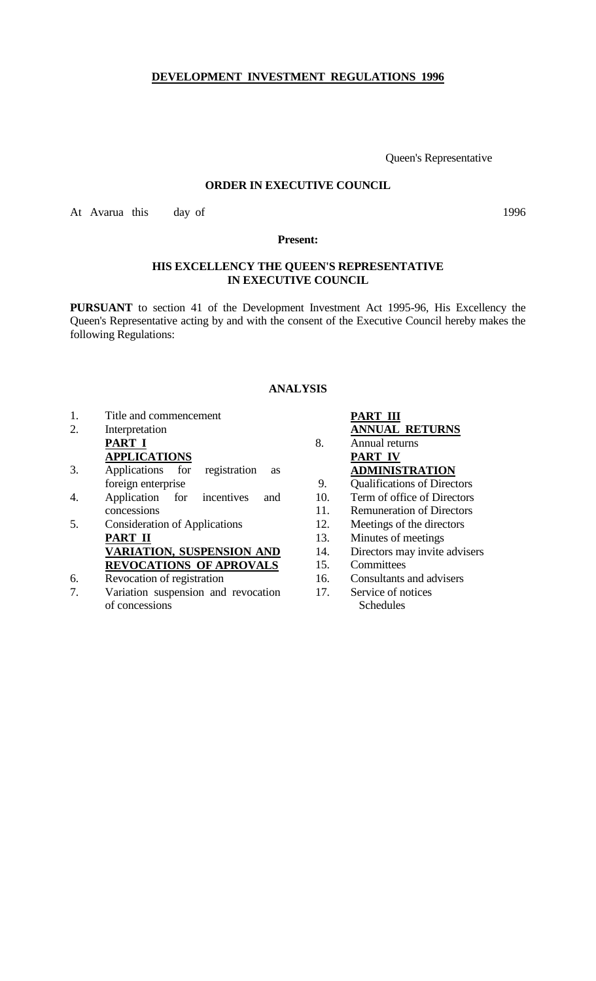# **DEVELOPMENT INVESTMENT REGULATIONS 1996**

Queen's Representative

#### **ORDER IN EXECUTIVE COUNCIL**

At Avarua this day of 1996

**Present:**

## **HIS EXCELLENCY THE QUEEN'S REPRESENTATIVE IN EXECUTIVE COUNCIL**

**PURSUANT** to section 41 of the Development Investment Act 1995-96, His Excellency the Queen's Representative acting by and with the consent of the Executive Council hereby makes the following Regulations:

# **ANALYSIS**

- 1. Title and commencement
- 2. Interpretation **PART I APPLICATIONS**
- 3. Applications for registration as foreign enterprise
- 4. Application for incentives and concessions
- 5. Consideration of Applications **PART II VARIATION, SUSPENSION AND REVOCATIONS OF APROVALS**
- 6. Revocation of registration
- 7. Variation suspension and revocation of concessions

**PART III ANNUAL RETURNS** 8. Annual returns **PART IV ADMINISTRATION** 9. Qualifications of Directors 10. Term of office of Directors 11. Remuneration of Directors 12. Meetings of the directors 13. Minutes of meetings 14. Directors may invite advisers 15. Committees 16. Consultants and advisers 17. Service of notices Schedules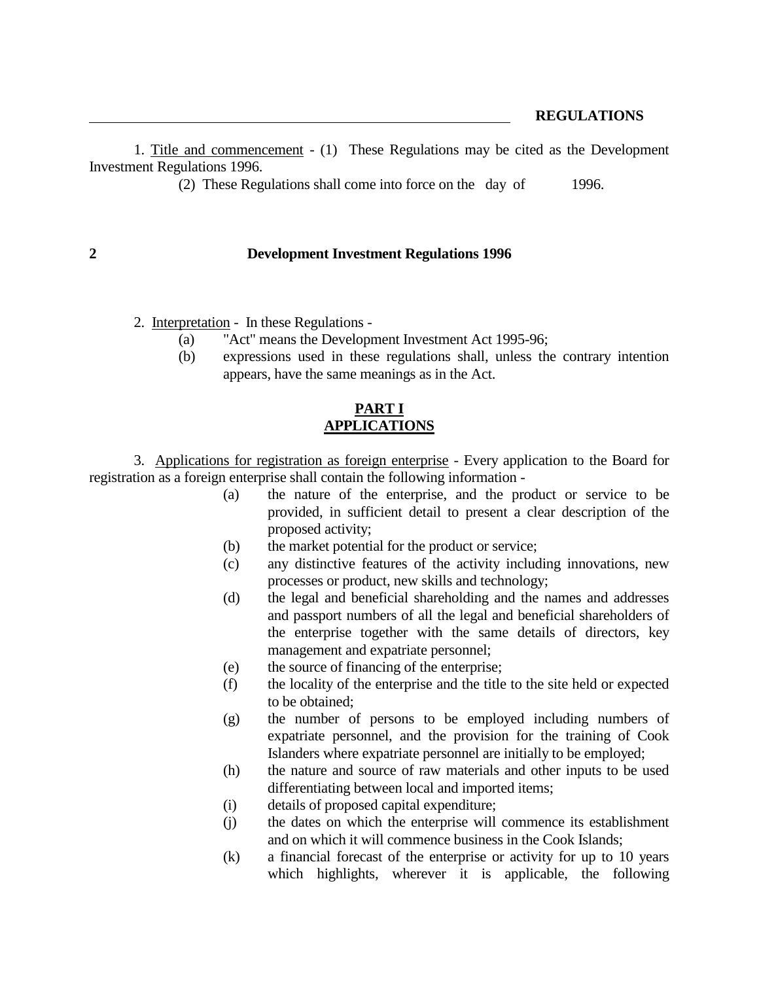1. Title and commencement - (1) These Regulations may be cited as the Development Investment Regulations 1996.

(2) These Regulations shall come into force on the day of 1996.

#### **2 Development Investment Regulations 1996**

- 2. Interpretation In these Regulations
	- (a) "Act" means the Development Investment Act 1995-96;
	- (b) expressions used in these regulations shall, unless the contrary intention appears, have the same meanings as in the Act.

### **PART I APPLICATIONS**

3. Applications for registration as foreign enterprise - Every application to the Board for registration as a foreign enterprise shall contain the following information -

- (a) the nature of the enterprise, and the product or service to be provided, in sufficient detail to present a clear description of the proposed activity;
- (b) the market potential for the product or service;
- (c) any distinctive features of the activity including innovations, new processes or product, new skills and technology;
- (d) the legal and beneficial shareholding and the names and addresses and passport numbers of all the legal and beneficial shareholders of the enterprise together with the same details of directors, key management and expatriate personnel;
- (e) the source of financing of the enterprise;
- (f) the locality of the enterprise and the title to the site held or expected to be obtained;
- (g) the number of persons to be employed including numbers of expatriate personnel, and the provision for the training of Cook Islanders where expatriate personnel are initially to be employed;
- (h) the nature and source of raw materials and other inputs to be used differentiating between local and imported items;
- (i) details of proposed capital expenditure;
- (j) the dates on which the enterprise will commence its establishment and on which it will commence business in the Cook Islands;
- (k) a financial forecast of the enterprise or activity for up to 10 years which highlights, wherever it is applicable, the following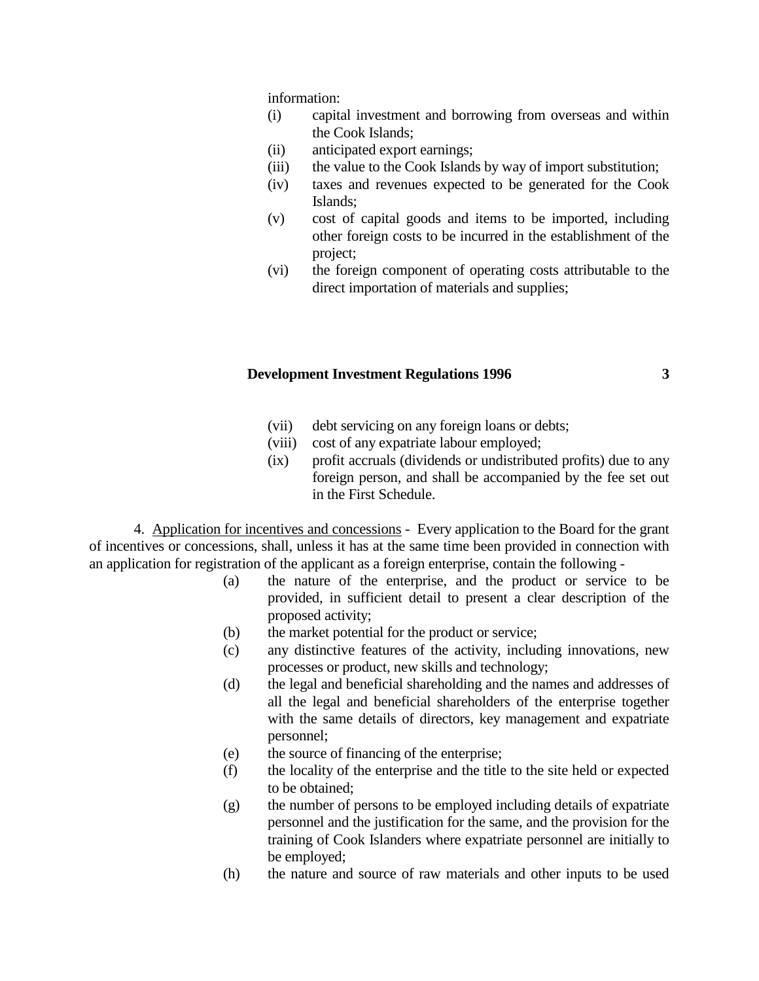information:

- (i) capital investment and borrowing from overseas and within the Cook Islands;
- (ii) anticipated export earnings;
- (iii) the value to the Cook Islands by way of import substitution;
- (iv) taxes and revenues expected to be generated for the Cook Islands;
- (v) cost of capital goods and items to be imported, including other foreign costs to be incurred in the establishment of the project;
- (vi) the foreign component of operating costs attributable to the direct importation of materials and supplies;

#### **Development Investment Regulations 1996 3**

- (vii) debt servicing on any foreign loans or debts;
- (viii) cost of any expatriate labour employed;
- (ix) profit accruals (dividends or undistributed profits) due to any foreign person, and shall be accompanied by the fee set out in the First Schedule.

4. Application for incentives and concessions - Every application to the Board for the grant of incentives or concessions, shall, unless it has at the same time been provided in connection with an application for registration of the applicant as a foreign enterprise, contain the following -

- (a) the nature of the enterprise, and the product or service to be provided, in sufficient detail to present a clear description of the proposed activity;
- (b) the market potential for the product or service;
- (c) any distinctive features of the activity, including innovations, new processes or product, new skills and technology;
- (d) the legal and beneficial shareholding and the names and addresses of all the legal and beneficial shareholders of the enterprise together with the same details of directors, key management and expatriate personnel;
- (e) the source of financing of the enterprise;
- (f) the locality of the enterprise and the title to the site held or expected to be obtained;
- (g) the number of persons to be employed including details of expatriate personnel and the justification for the same, and the provision for the training of Cook Islanders where expatriate personnel are initially to be employed;
- (h) the nature and source of raw materials and other inputs to be used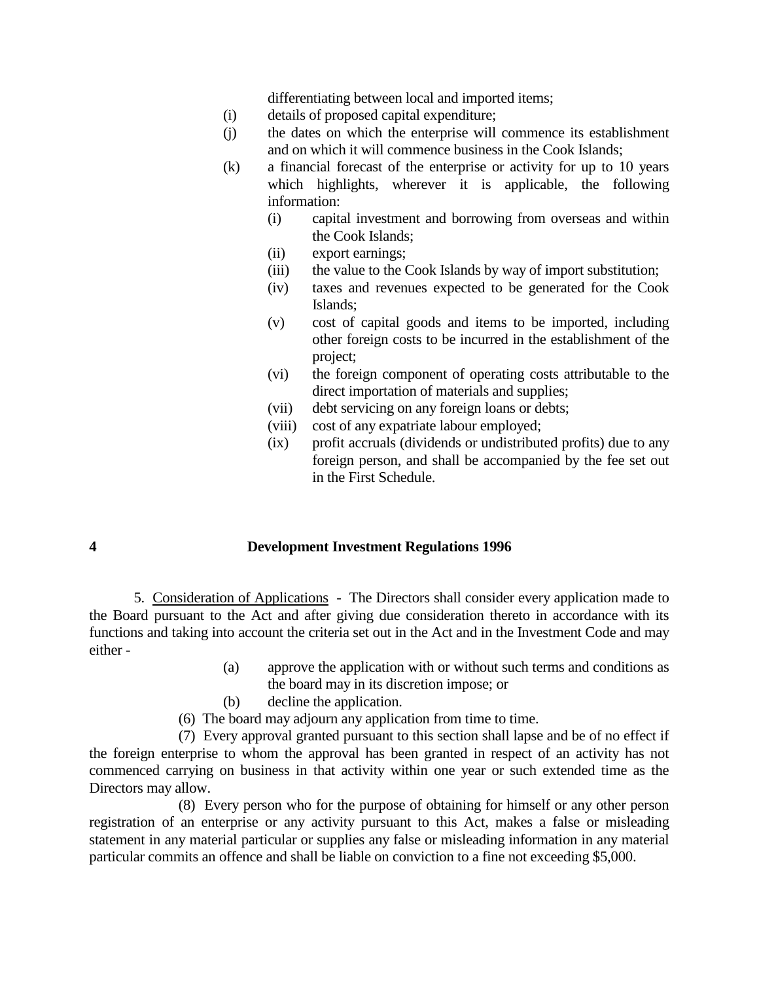differentiating between local and imported items;

- (i) details of proposed capital expenditure;
- (j) the dates on which the enterprise will commence its establishment and on which it will commence business in the Cook Islands;
- (k) a financial forecast of the enterprise or activity for up to 10 years which highlights, wherever it is applicable, the following information:
	- (i) capital investment and borrowing from overseas and within the Cook Islands;
	- (ii) export earnings;
	- (iii) the value to the Cook Islands by way of import substitution;
	- (iv) taxes and revenues expected to be generated for the Cook Islands;
	- (v) cost of capital goods and items to be imported, including other foreign costs to be incurred in the establishment of the project;
	- (vi) the foreign component of operating costs attributable to the direct importation of materials and supplies;
	- (vii) debt servicing on any foreign loans or debts;
	- (viii) cost of any expatriate labour employed;
	- (ix) profit accruals (dividends or undistributed profits) due to any foreign person, and shall be accompanied by the fee set out in the First Schedule.

#### **4 Development Investment Regulations 1996**

5. Consideration of Applications - The Directors shall consider every application made to the Board pursuant to the Act and after giving due consideration thereto in accordance with its functions and taking into account the criteria set out in the Act and in the Investment Code and may either -

- (a) approve the application with or without such terms and conditions as the board may in its discretion impose; or
- (b) decline the application.
- (6) The board may adjourn any application from time to time.

(7) Every approval granted pursuant to this section shall lapse and be of no effect if the foreign enterprise to whom the approval has been granted in respect of an activity has not commenced carrying on business in that activity within one year or such extended time as the Directors may allow.

(8) Every person who for the purpose of obtaining for himself or any other person registration of an enterprise or any activity pursuant to this Act, makes a false or misleading statement in any material particular or supplies any false or misleading information in any material particular commits an offence and shall be liable on conviction to a fine not exceeding \$5,000.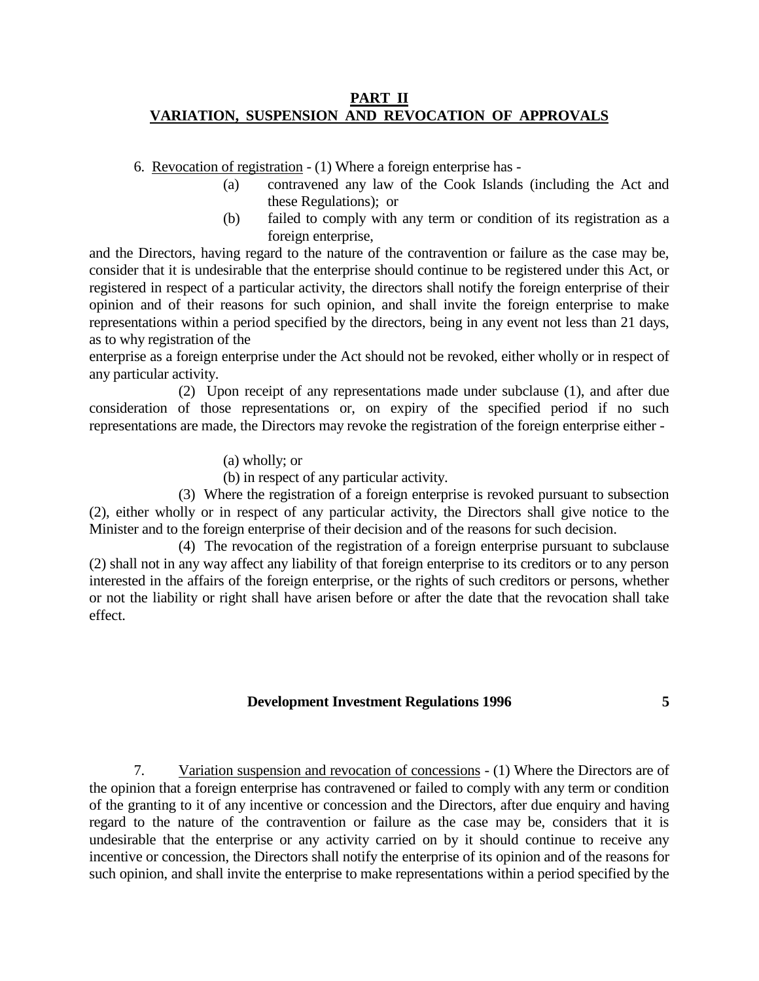## **PART II VARIATION, SUSPENSION AND REVOCATION OF APPROVALS**

6. Revocation of registration - (1) Where a foreign enterprise has -

- (a) contravened any law of the Cook Islands (including the Act and these Regulations); or
- (b) failed to comply with any term or condition of its registration as a foreign enterprise,

and the Directors, having regard to the nature of the contravention or failure as the case may be, consider that it is undesirable that the enterprise should continue to be registered under this Act, or registered in respect of a particular activity, the directors shall notify the foreign enterprise of their opinion and of their reasons for such opinion, and shall invite the foreign enterprise to make representations within a period specified by the directors, being in any event not less than 21 days, as to why registration of the

enterprise as a foreign enterprise under the Act should not be revoked, either wholly or in respect of any particular activity.

(2) Upon receipt of any representations made under subclause (1), and after due consideration of those representations or, on expiry of the specified period if no such representations are made, the Directors may revoke the registration of the foreign enterprise either -

(a) wholly; or

(b) in respect of any particular activity.

(3) Where the registration of a foreign enterprise is revoked pursuant to subsection (2), either wholly or in respect of any particular activity, the Directors shall give notice to the Minister and to the foreign enterprise of their decision and of the reasons for such decision.

(4) The revocation of the registration of a foreign enterprise pursuant to subclause (2) shall not in any way affect any liability of that foreign enterprise to its creditors or to any person interested in the affairs of the foreign enterprise, or the rights of such creditors or persons, whether or not the liability or right shall have arisen before or after the date that the revocation shall take effect.

## **Development Investment Regulations 1996 5**

7. Variation suspension and revocation of concessions - (1) Where the Directors are of the opinion that a foreign enterprise has contravened or failed to comply with any term or condition of the granting to it of any incentive or concession and the Directors, after due enquiry and having regard to the nature of the contravention or failure as the case may be, considers that it is undesirable that the enterprise or any activity carried on by it should continue to receive any incentive or concession, the Directors shall notify the enterprise of its opinion and of the reasons for such opinion, and shall invite the enterprise to make representations within a period specified by the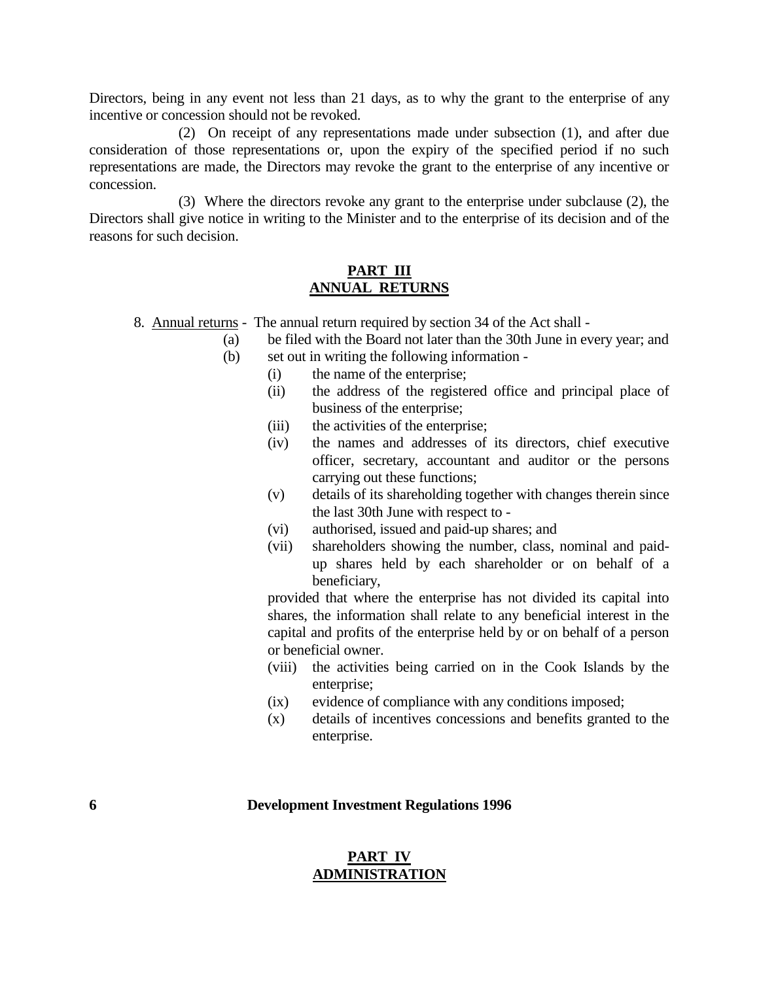Directors, being in any event not less than 21 days, as to why the grant to the enterprise of any incentive or concession should not be revoked.

(2) On receipt of any representations made under subsection (1), and after due consideration of those representations or, upon the expiry of the specified period if no such representations are made, the Directors may revoke the grant to the enterprise of any incentive or concession.

(3) Where the directors revoke any grant to the enterprise under subclause (2), the Directors shall give notice in writing to the Minister and to the enterprise of its decision and of the reasons for such decision.

#### **PART III ANNUAL RETURNS**

8. Annual returns - The annual return required by section 34 of the Act shall -

- (a) be filed with the Board not later than the 30th June in every year; and
	- (b) set out in writing the following information
		- (i) the name of the enterprise;
		- (ii) the address of the registered office and principal place of business of the enterprise;
		- (iii) the activities of the enterprise;
		- (iv) the names and addresses of its directors, chief executive officer, secretary, accountant and auditor or the persons carrying out these functions;
		- (v) details of its shareholding together with changes therein since the last 30th June with respect to -
		- (vi) authorised, issued and paid-up shares; and
		- (vii) shareholders showing the number, class, nominal and paidup shares held by each shareholder or on behalf of a beneficiary,

provided that where the enterprise has not divided its capital into shares, the information shall relate to any beneficial interest in the capital and profits of the enterprise held by or on behalf of a person or beneficial owner.

- (viii) the activities being carried on in the Cook Islands by the enterprise;
- (ix) evidence of compliance with any conditions imposed;
- (x) details of incentives concessions and benefits granted to the enterprise.

#### **6 Development Investment Regulations 1996**

### **PART IV ADMINISTRATION**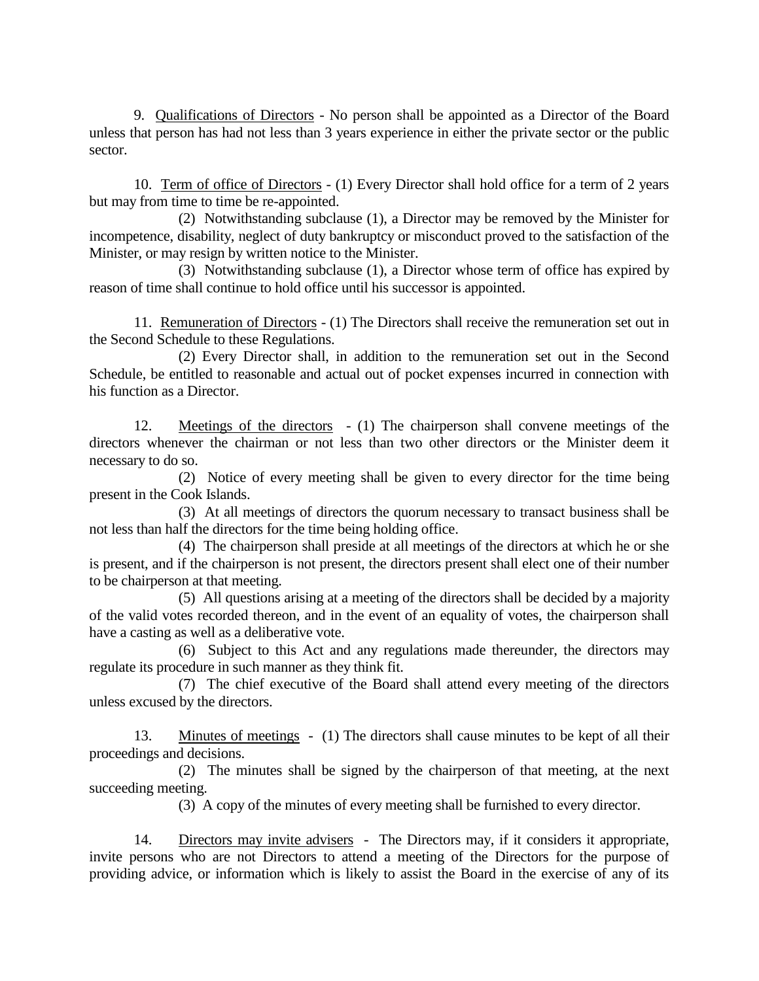9. Qualifications of Directors - No person shall be appointed as a Director of the Board unless that person has had not less than 3 years experience in either the private sector or the public sector.

10. Term of office of Directors - (1) Every Director shall hold office for a term of 2 years but may from time to time be re-appointed.

(2) Notwithstanding subclause (1), a Director may be removed by the Minister for incompetence, disability, neglect of duty bankruptcy or misconduct proved to the satisfaction of the Minister, or may resign by written notice to the Minister.

(3) Notwithstanding subclause (1), a Director whose term of office has expired by reason of time shall continue to hold office until his successor is appointed.

11. Remuneration of Directors - (1) The Directors shall receive the remuneration set out in the Second Schedule to these Regulations.

(2) Every Director shall, in addition to the remuneration set out in the Second Schedule, be entitled to reasonable and actual out of pocket expenses incurred in connection with his function as a Director.

12. Meetings of the directors - (1) The chairperson shall convene meetings of the directors whenever the chairman or not less than two other directors or the Minister deem it necessary to do so.

(2) Notice of every meeting shall be given to every director for the time being present in the Cook Islands.

(3) At all meetings of directors the quorum necessary to transact business shall be not less than half the directors for the time being holding office.

(4) The chairperson shall preside at all meetings of the directors at which he or she is present, and if the chairperson is not present, the directors present shall elect one of their number to be chairperson at that meeting.

(5) All questions arising at a meeting of the directors shall be decided by a majority of the valid votes recorded thereon, and in the event of an equality of votes, the chairperson shall have a casting as well as a deliberative vote.

(6) Subject to this Act and any regulations made thereunder, the directors may regulate its procedure in such manner as they think fit.

(7) The chief executive of the Board shall attend every meeting of the directors unless excused by the directors.

13. Minutes of meetings - (1) The directors shall cause minutes to be kept of all their proceedings and decisions.

(2) The minutes shall be signed by the chairperson of that meeting, at the next succeeding meeting.

(3) A copy of the minutes of every meeting shall be furnished to every director.

14. Directors may invite advisers - The Directors may, if it considers it appropriate, invite persons who are not Directors to attend a meeting of the Directors for the purpose of providing advice, or information which is likely to assist the Board in the exercise of any of its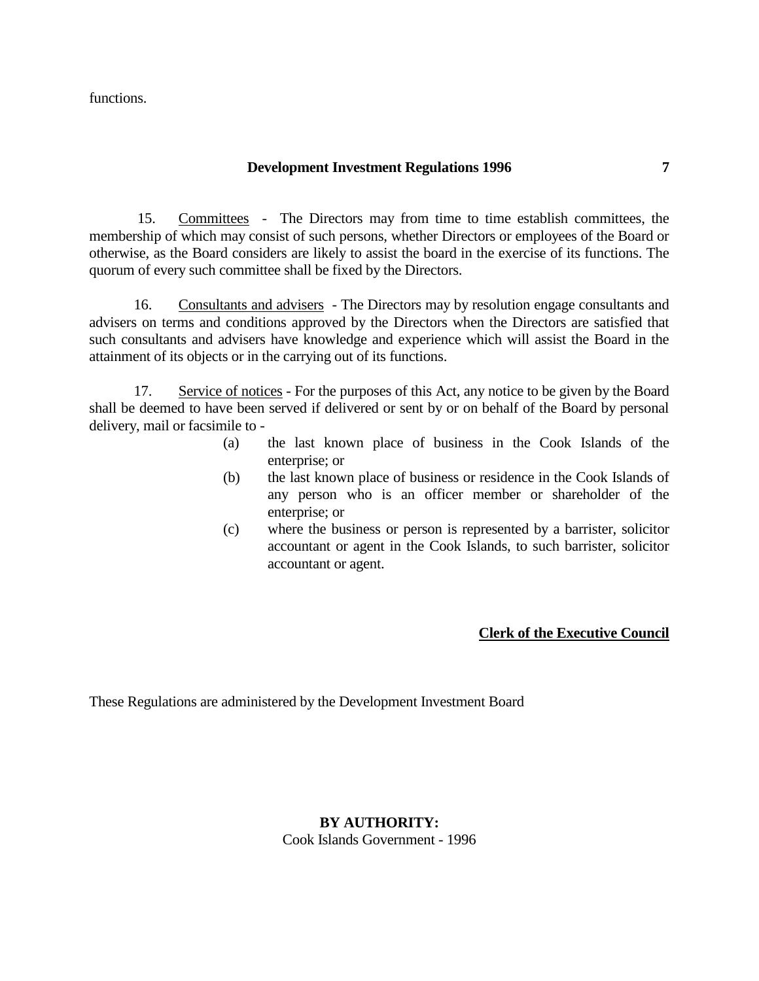functions.

#### **Development Investment Regulations 1996 7**

15. Committees - The Directors may from time to time establish committees, the membership of which may consist of such persons, whether Directors or employees of the Board or otherwise, as the Board considers are likely to assist the board in the exercise of its functions. The quorum of every such committee shall be fixed by the Directors.

16. Consultants and advisers - The Directors may by resolution engage consultants and advisers on terms and conditions approved by the Directors when the Directors are satisfied that such consultants and advisers have knowledge and experience which will assist the Board in the attainment of its objects or in the carrying out of its functions.

17. Service of notices - For the purposes of this Act, any notice to be given by the Board shall be deemed to have been served if delivered or sent by or on behalf of the Board by personal delivery, mail or facsimile to -

- (a) the last known place of business in the Cook Islands of the enterprise; or
- (b) the last known place of business or residence in the Cook Islands of any person who is an officer member or shareholder of the enterprise; or
- (c) where the business or person is represented by a barrister, solicitor accountant or agent in the Cook Islands, to such barrister, solicitor accountant or agent.

### **Clerk of the Executive Council**

These Regulations are administered by the Development Investment Board

### **BY AUTHORITY:**

Cook Islands Government - 1996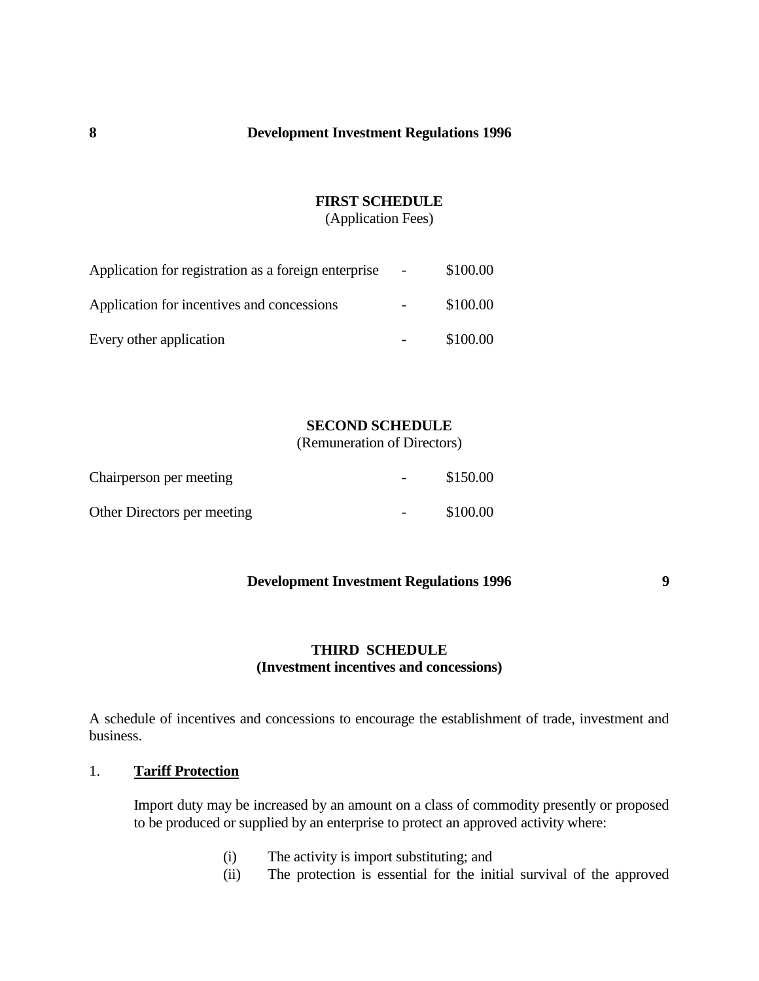## **FIRST SCHEDULE**

(Application Fees)

| Application for registration as a foreign enterprise | $\sim$ | \$100.00 |
|------------------------------------------------------|--------|----------|
| Application for incentives and concessions           |        | \$100.00 |
| Every other application                              |        | \$100.00 |

# **SECOND SCHEDULE**

(Remuneration of Directors)

| Chairperson per meeting     |                          | \$150.00 |
|-----------------------------|--------------------------|----------|
| Other Directors per meeting | $\overline{\phantom{a}}$ | \$100.00 |

## **Development Investment Regulations 1996 9**

# **THIRD SCHEDULE (Investment incentives and concessions)**

A schedule of incentives and concessions to encourage the establishment of trade, investment and business.

## 1. **Tariff Protection**

Import duty may be increased by an amount on a class of commodity presently or proposed to be produced or supplied by an enterprise to protect an approved activity where:

- (i) The activity is import substituting; and
- (ii) The protection is essential for the initial survival of the approved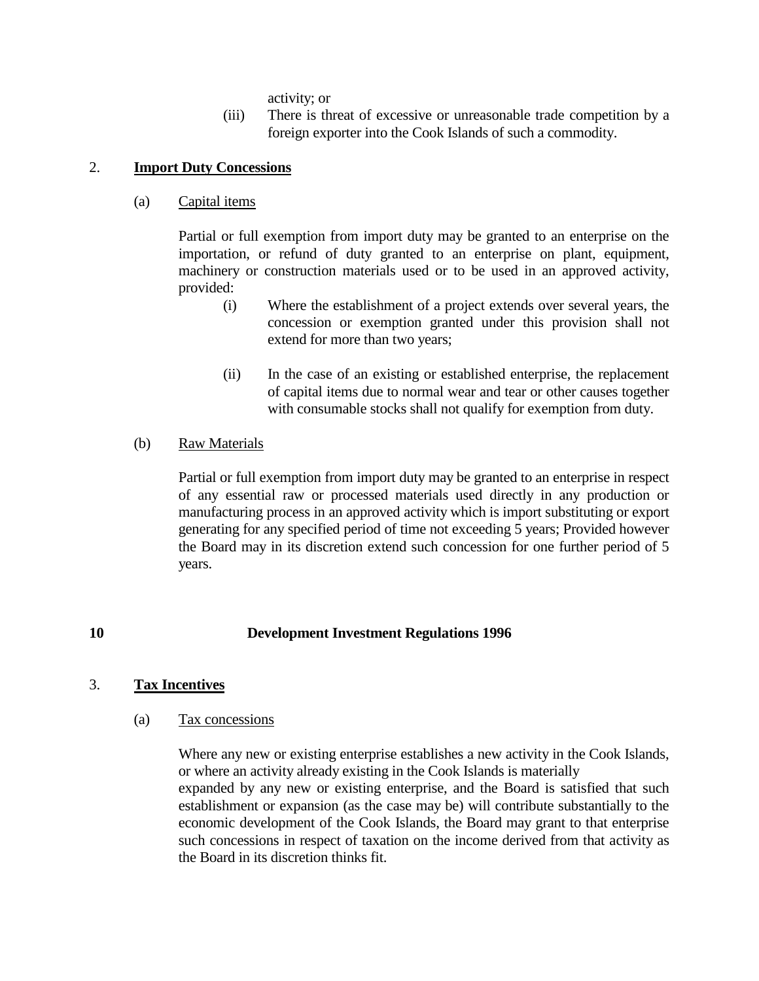activity; or

(iii) There is threat of excessive or unreasonable trade competition by a foreign exporter into the Cook Islands of such a commodity.

## 2. **Import Duty Concessions**

(a) Capital items

Partial or full exemption from import duty may be granted to an enterprise on the importation, or refund of duty granted to an enterprise on plant, equipment, machinery or construction materials used or to be used in an approved activity, provided:

- (i) Where the establishment of a project extends over several years, the concession or exemption granted under this provision shall not extend for more than two years;
- (ii) In the case of an existing or established enterprise, the replacement of capital items due to normal wear and tear or other causes together with consumable stocks shall not qualify for exemption from duty.

## (b) Raw Materials

Partial or full exemption from import duty may be granted to an enterprise in respect of any essential raw or processed materials used directly in any production or manufacturing process in an approved activity which is import substituting or export generating for any specified period of time not exceeding 5 years; Provided however the Board may in its discretion extend such concession for one further period of 5 years.

# **10 Development Investment Regulations 1996**

### 3. **Tax Incentives**

### (a) Tax concessions

Where any new or existing enterprise establishes a new activity in the Cook Islands, or where an activity already existing in the Cook Islands is materially expanded by any new or existing enterprise, and the Board is satisfied that such establishment or expansion (as the case may be) will contribute substantially to the economic development of the Cook Islands, the Board may grant to that enterprise such concessions in respect of taxation on the income derived from that activity as the Board in its discretion thinks fit.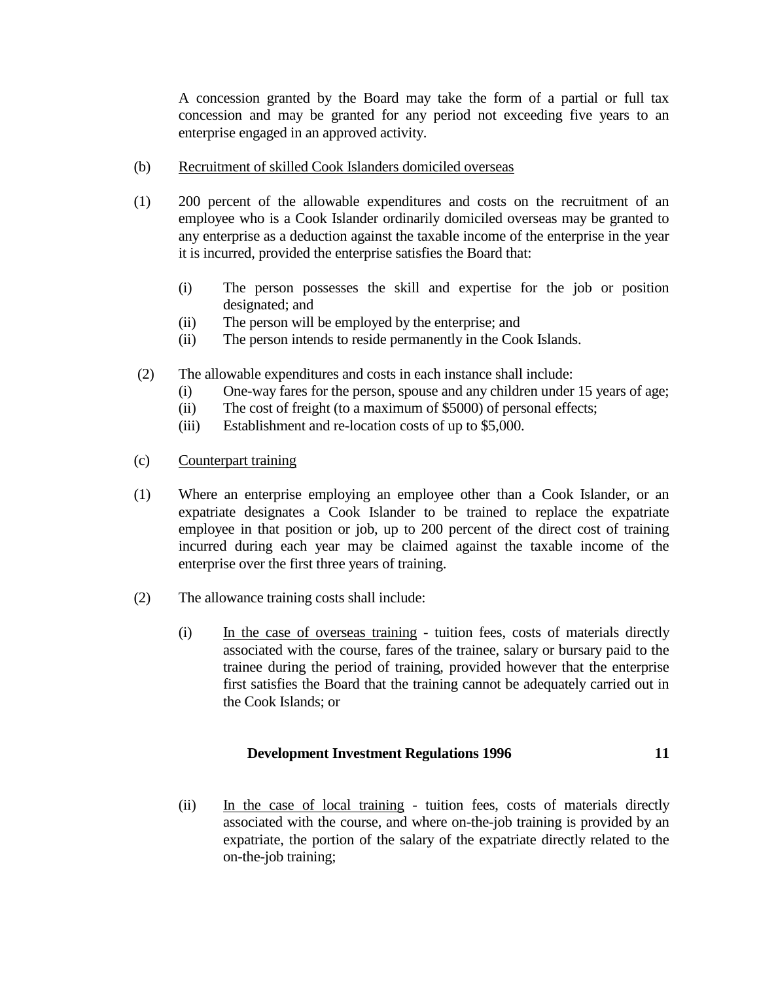A concession granted by the Board may take the form of a partial or full tax concession and may be granted for any period not exceeding five years to an enterprise engaged in an approved activity.

- (b) Recruitment of skilled Cook Islanders domiciled overseas
- (1) 200 percent of the allowable expenditures and costs on the recruitment of an employee who is a Cook Islander ordinarily domiciled overseas may be granted to any enterprise as a deduction against the taxable income of the enterprise in the year it is incurred, provided the enterprise satisfies the Board that:
	- (i) The person possesses the skill and expertise for the job or position designated; and
	- (ii) The person will be employed by the enterprise; and
	- (ii) The person intends to reside permanently in the Cook Islands.
- (2) The allowable expenditures and costs in each instance shall include:
	- (i) One-way fares for the person, spouse and any children under 15 years of age;
	- (ii) The cost of freight (to a maximum of \$5000) of personal effects;
	- (iii) Establishment and re-location costs of up to \$5,000.
- (c) Counterpart training
- (1) Where an enterprise employing an employee other than a Cook Islander, or an expatriate designates a Cook Islander to be trained to replace the expatriate employee in that position or job, up to 200 percent of the direct cost of training incurred during each year may be claimed against the taxable income of the enterprise over the first three years of training.
- (2) The allowance training costs shall include:
	- (i) In the case of overseas training tuition fees, costs of materials directly associated with the course, fares of the trainee, salary or bursary paid to the trainee during the period of training, provided however that the enterprise first satisfies the Board that the training cannot be adequately carried out in the Cook Islands; or

# **Development Investment Regulations 1996 11**

(ii) In the case of local training - tuition fees, costs of materials directly associated with the course, and where on-the-job training is provided by an expatriate, the portion of the salary of the expatriate directly related to the on-the-job training;